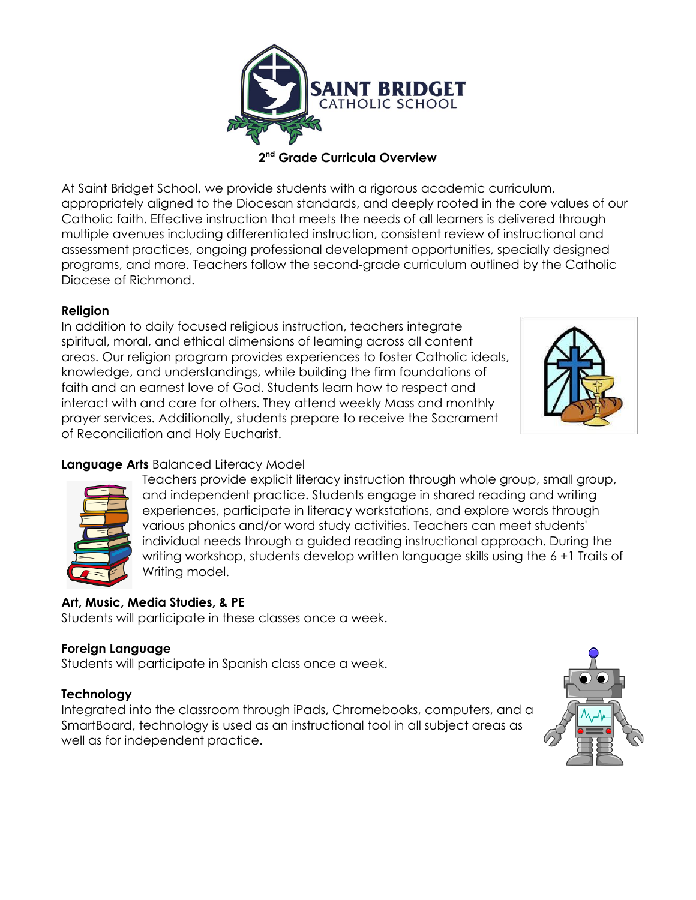

**2 nd Grade Curricula Overview**

At Saint Bridget School, we provide students with a rigorous academic curriculum, appropriately aligned to the Diocesan standards, and deeply rooted in the core values of our Catholic faith. Effective instruction that meets the needs of all learners is delivered through multiple avenues including differentiated instruction, consistent review of instructional and assessment practices, ongoing professional development opportunities, specially designed programs, and more. Teachers follow the second-grade curriculum outlined by the Catholic Diocese of Richmond.

### **Religion**

In addition to daily focused religious instruction, teachers integrate spiritual, moral, and ethical dimensions of learning across all content areas. Our religion program provides experiences to foster Catholic ideals, knowledge, and understandings, while building the firm foundations of faith and an earnest love of God. Students learn how to respect and interact with and care for others. They attend weekly Mass and monthly prayer services. Additionally, students prepare to receive the Sacrament of Reconciliation and Holy Eucharist.



### **Language Arts** Balanced Literacy Model



Teachers provide explicit literacy instruction through whole group, small group, and independent practice. Students engage in shared reading and writing experiences, participate in literacy workstations, and explore words through various phonics and/or word study activities. Teachers can meet students' individual needs through a guided reading instructional approach. During the writing workshop, students develop written language skills using the 6 +1 Traits of Writing model.

### **Art, Music, Media Studies, & PE**

Students will participate in these classes once a week.

### **Foreign Language**

Students will participate in Spanish class once a week.

#### **Technology**

Integrated into the classroom through iPads, Chromebooks, computers, and a SmartBoard, technology is used as an instructional tool in all subject areas as well as for independent practice.